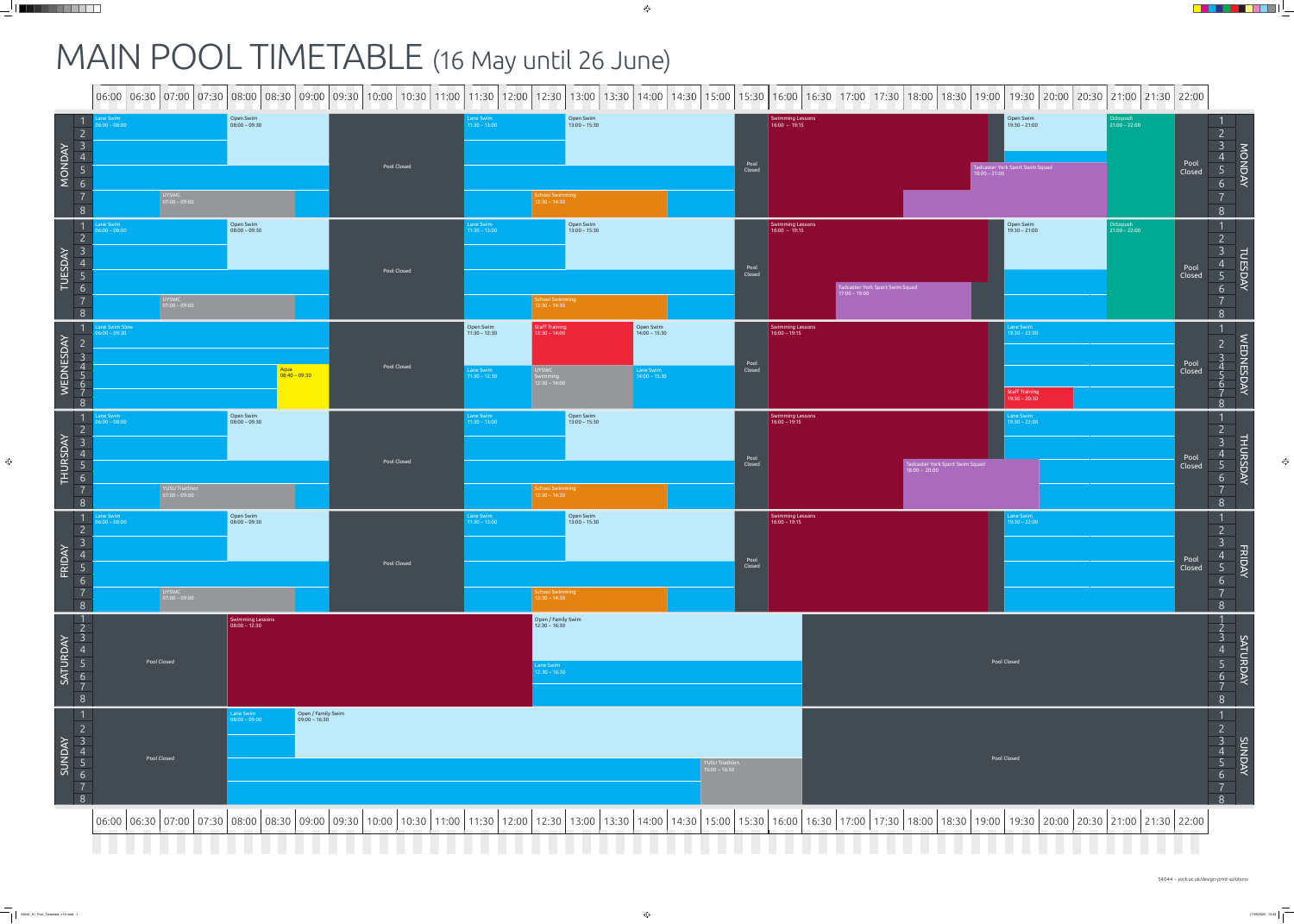## MAIN POOL TIMETABLE (16 May until 26 June)

|                                 |                                 |                                                                                                    |                                                                                    |                                     |             |                                                            |                                                                           |                                                              |                                   |                                     | 06:00   06:30   07:00   07:30   08:00   08:30   09:00   09:30   10:00   10:30   11:00   11:30   12:00   13:30   14:00   14:30   15:00   15:30   16:00   17:00   17:30   18:00   18:30   19:00   19:30   20:00   20:00   21:30 |                                                                                    |                             |                |                                        |
|---------------------------------|---------------------------------|----------------------------------------------------------------------------------------------------|------------------------------------------------------------------------------------|-------------------------------------|-------------|------------------------------------------------------------|---------------------------------------------------------------------------|--------------------------------------------------------------|-----------------------------------|-------------------------------------|-------------------------------------------------------------------------------------------------------------------------------------------------------------------------------------------------------------------------------|------------------------------------------------------------------------------------|-----------------------------|----------------|----------------------------------------|
| MONDAY                          | ane Swim<br>$6:00 - 08:00$      | UYSWC<br>07:00 – 09:00                                                                             | Open Swim<br>$\frac{1}{2}$ 08:00 - 09:30                                           |                                     | Pool Closed | Lane Swim<br>$11:30 - 13:00$                               | Open Swim<br>$13:00 - 15:30$<br>chool Swimming<br>12:30 – 14:30           |                                                              | Pool<br>Closed                    | Swimming Lessons<br>$16:00 - 19:15$ |                                                                                                                                                                                                                               | Open Swim<br>  19:30 – 21:00<br>Tadcaster York Sport Swim Squad<br>$18:00 - 21:00$ | Octopush<br>$21:00 - 22:00$ | Pool<br>Closed | $\Box$                                 |
| TUESDAY<br>$\sim$ $\sim$ $\sim$ | ane Swim<br>$6:00 - 08:00$      | UYSWC<br>07:00 – 09:00                                                                             | Open Swim<br>08:00 - 09:30                                                         |                                     | Pool Closed | Lane Swim<br>$11:30 - 13:00$                               | Open Swim<br>$13:00 - 15:30$<br>chool Swimming<br>$2:30 - 14:30$          |                                                              | Pool<br>Closed                    | Swimming Lessons<br>$16:00 - 19:15$ | Tadcaster York Sport Swim Squad<br>17:00 – 19:00                                                                                                                                                                              | Open Swim<br>  19:30 – 21:00                                                       | Octopush<br>21:00 – 22:00   | Pool<br>Closed | $\overline{\phantom{a}}$               |
| WEDNESDAY                       | ane Swim Slow<br>$6:00 - 09:30$ |                                                                                                    |                                                                                    | Aqua<br>08:40 – 09:30               | Pool Closed | Open Swim<br>11:30 – 12:30<br>Lane Swim<br>$11:30 - 12:30$ | Staff Training<br>$12:30 - 14:00$<br>UYSWC<br>Swimming<br>$12:30 - 14:00$ | Open Swim<br>$14:00 - 15:30$<br>Lane Swim<br>$14:00 - 15:30$ | Pool<br>Closed                    | Swimming Lessons<br>$16:00 - 19:15$ |                                                                                                                                                                                                                               | Lane Swim<br>$19:30 - 22:00$<br>Staff Training<br>$19:30 - 20:30$                  |                             | Pool<br>Closed | $\sum_{i=1}^{n}$<br>DNESD <sub>1</sub> |
| THURSDAY                        | ane Swim<br>$100 - 08:00$       | $\begin{array}{ l l }\n\hline\n\text{YUSU Triathlon} & \text{07:00} - 09:00 & \hline\n\end{array}$ | Open Swim<br>08:00 – 09:30                                                         |                                     | Pool Closed | Lane Swim<br>$11:30 - 13:00$                               | Open Swim<br>13:00 – 15:30<br>nool Swimming<br>$12:30 - 14:30$            |                                                              | Pool<br>Closed                    | Swimming Lessons<br>$16:00 - 19:15$ | Tadcaster York Sport Swim Squad<br>$18:00 - 20:00$                                                                                                                                                                            | Lane Swim<br>$19:30 - 22:00$                                                       |                             | Pool<br>Closed | <b>THUR</b><br>႕                       |
| $FRIDAY$ $D \cap D \neq 0$      | ane Swim<br>$6:00 - 08:00$      | UYSWC<br>07:00 – 09:00                                                                             | Open Swim<br>08:00 – 09:30                                                         |                                     | Pool Closed | Lane Swim<br>$11:30 - 13:00$                               | Open Swim<br>13:00 - 15:30<br>hool Swimming<br>$2:30 - 14:30$             |                                                              | Pool<br>Closed                    | Swimming Lessons<br>$16:00 - 19:15$ |                                                                                                                                                                                                                               | Lane Swim<br>$19:30 - 22:00$                                                       |                             | Pool<br>Closed | FRIDA                                  |
| SATURDAY                        |                                 | Pool Closed                                                                                        | <b>Swimming Lessons</b><br>$\big  08:00 - 12:30 \big $                             |                                     |             |                                                            | Open / Family Swim<br>12:30 – 16:30<br>Lane Swim<br>$12.30 - 16:30$       |                                                              |                                   |                                     |                                                                                                                                                                                                                               | Pool Closed                                                                        |                             |                | SATURDAY                               |
| SUNDAY                          |                                 | Pool Closed                                                                                        | Lane Swim<br>08:00 – 09:00<br><u> 1989 - Johann Stoff, Amerikaansk politiker (</u> | Open / Family Swim<br>09:00 – 16:30 |             |                                                            |                                                                           |                                                              | YUSU Triathlon<br>$15:00 - 16:30$ |                                     |                                                                                                                                                                                                                               | Pool Closed                                                                        |                             |                | <b>ADNUA</b>                           |
|                                 |                                 |                                                                                                    |                                                                                    |                                     |             |                                                            |                                                                           |                                                              |                                   |                                     | 10:00   06:00   06:30   07:00   07:30   08:00   08:30   09:00   09:30   10:00   10:30   11:00   11:30   12:00   12:30   13:00   14:00   15:30   16:00   17:30   17:00   17:30   19:00   18:30   19:00   19:30   20:00   20:00 | <b>Contract Contract</b>                                                           |                             |                |                                        |

\_\_\_\_\_\_\_

<u> Film</u>

. .

<u>r Film</u>

 $\hspace{0.1cm}$